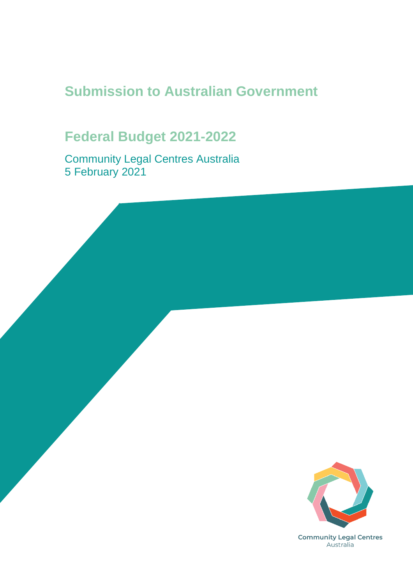# **Submission to Australian Government**

# **Federal Budget 2021-2022**

Community Legal Centres Australia 5 February 2021

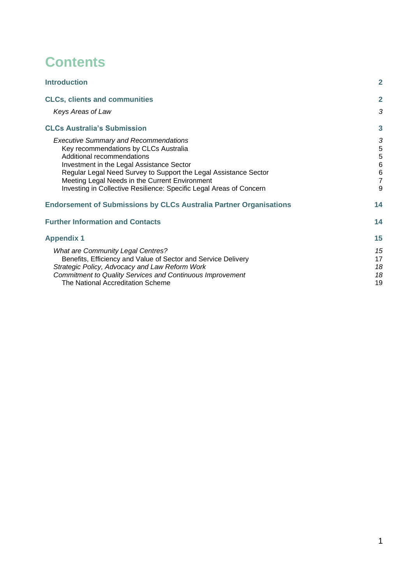## **Contents**

| <b>Introduction</b>                                                                                                                                                                                                                                                                                                                                           | $\overline{2}$                                                            |
|---------------------------------------------------------------------------------------------------------------------------------------------------------------------------------------------------------------------------------------------------------------------------------------------------------------------------------------------------------------|---------------------------------------------------------------------------|
| <b>CLCs, clients and communities</b>                                                                                                                                                                                                                                                                                                                          | $\mathbf{2}$                                                              |
| Keys Areas of Law                                                                                                                                                                                                                                                                                                                                             | 3                                                                         |
| <b>CLCs Australia's Submission</b>                                                                                                                                                                                                                                                                                                                            | 3                                                                         |
| <b>Executive Summary and Recommendations</b><br>Key recommendations by CLCs Australia<br>Additional recommendations<br>Investment in the Legal Assistance Sector<br>Regular Legal Need Survey to Support the Legal Assistance Sector<br>Meeting Legal Needs in the Current Environment<br>Investing in Collective Resilience: Specific Legal Areas of Concern | 3<br>$\frac{5}{5}$<br>$\,6$<br>$\begin{array}{c} 6 \\ 7 \end{array}$<br>9 |
| <b>Endorsement of Submissions by CLCs Australia Partner Organisations</b>                                                                                                                                                                                                                                                                                     | 14                                                                        |
| <b>Further Information and Contacts</b>                                                                                                                                                                                                                                                                                                                       | 14                                                                        |
| <b>Appendix 1</b>                                                                                                                                                                                                                                                                                                                                             | 15                                                                        |
| <b>What are Community Legal Centres?</b><br>Benefits, Efficiency and Value of Sector and Service Delivery<br>Strategic Policy, Advocacy and Law Reform Work<br><b>Commitment to Quality Services and Continuous Improvement</b><br>The National Accreditation Scheme                                                                                          | 15<br>17<br>18<br>18<br>19                                                |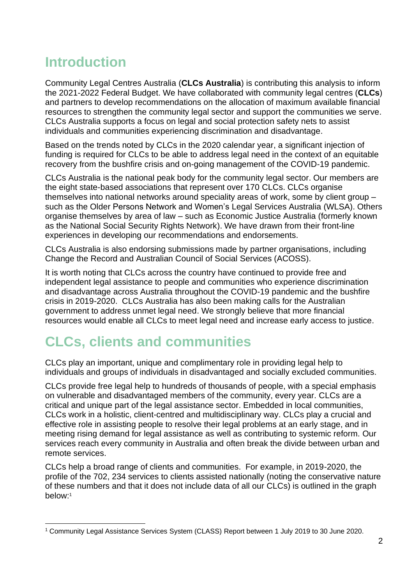# <span id="page-2-0"></span>**Introduction**

Community Legal Centres Australia (**CLCs Australia**) is contributing this analysis to inform the 2021-2022 Federal Budget. We have collaborated with community legal centres (**CLCs**) and partners to develop recommendations on the allocation of maximum available financial resources to strengthen the community legal sector and support the communities we serve. CLCs Australia supports a focus on legal and social protection safety nets to assist individuals and communities experiencing discrimination and disadvantage.

Based on the trends noted by CLCs in the 2020 calendar year, a significant injection of funding is required for CLCs to be able to address legal need in the context of an equitable recovery from the bushfire crisis and on-going management of the COVID-19 pandemic.

CLCs Australia is the national peak body for the community legal sector. Our members are the eight state-based associations that represent over 170 CLCs. CLCs organise themselves into national networks around speciality areas of work, some by client group – such as the Older Persons Network and Women's Legal Services Australia (WLSA). Others organise themselves by area of law – such as Economic Justice Australia (formerly known as the National Social Security Rights Network). We have drawn from their front-line experiences in developing our recommendations and endorsements.

CLCs Australia is also endorsing submissions made by partner organisations, including Change the Record and Australian Council of Social Services (ACOSS).

It is worth noting that CLCs across the country have continued to provide free and independent legal assistance to people and communities who experience discrimination and disadvantage across Australia throughout the COVID-19 pandemic and the bushfire crisis in 2019-2020. CLCs Australia has also been making calls for the Australian government to address unmet legal need. We strongly believe that more financial resources would enable all CLCs to meet legal need and increase early access to justice.

# <span id="page-2-1"></span>**CLCs, clients and communities**

CLCs play an important, unique and complimentary role in providing legal help to individuals and groups of individuals in disadvantaged and socially excluded communities.

CLCs provide free legal help to hundreds of thousands of people, with a special emphasis on vulnerable and disadvantaged members of the community, every year. CLCs are a critical and unique part of the legal assistance sector. Embedded in local communities, CLCs work in a holistic, client-centred and multidisciplinary way. CLCs play a crucial and effective role in assisting people to resolve their legal problems at an early stage, and in meeting rising demand for legal assistance as well as contributing to systemic reform. Our services reach every community in Australia and often break the divide between urban and remote services.

CLCs help a broad range of clients and communities. For example, in 2019-2020, the profile of the 702, 234 services to clients assisted nationally (noting the conservative nature of these numbers and that it does not include data of all our CLCs) is outlined in the graph below:<sup>1</sup>

<sup>1</sup> Community Legal Assistance Services System (CLASS) Report between 1 July 2019 to 30 June 2020.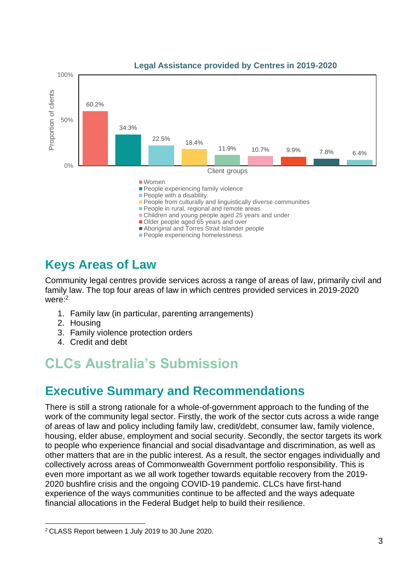

#### **Legal Assistance provided by Centres in 2019-2020**

## <span id="page-3-0"></span>**Keys Areas of Law**

Community legal centres provide services across a range of areas of law, primarily civil and family law. The top four areas of law in which centres provided services in 2019-2020 were:<sup>2</sup>

- 1. Family law (in particular, parenting arrangements)
- 2. Housing
- 3. Family violence protection orders
- 4. Credit and debt

## <span id="page-3-1"></span>**CLCs Australia's Submission**

## <span id="page-3-2"></span>**Executive Summary and Recommendations**

There is still a strong rationale for a whole-of-government approach to the funding of the work of the community legal sector. Firstly, the work of the sector cuts across a wide range of areas of law and policy including family law, credit/debt, consumer law, family violence, housing, elder abuse, employment and social security. Secondly, the sector targets its work to people who experience financial and social disadvantage and discrimination, as well as other matters that are in the public interest. As a result, the sector engages individually and collectively across areas of Commonwealth Government portfolio responsibility. This is even more important as we all work together towards equitable recovery from the 2019- 2020 bushfire crisis and the ongoing COVID-19 pandemic. CLCs have first-hand experience of the ways communities continue to be affected and the ways adequate financial allocations in the Federal Budget help to build their resilience.

<sup>2</sup> CLASS Report between 1 July 2019 to 30 June 2020.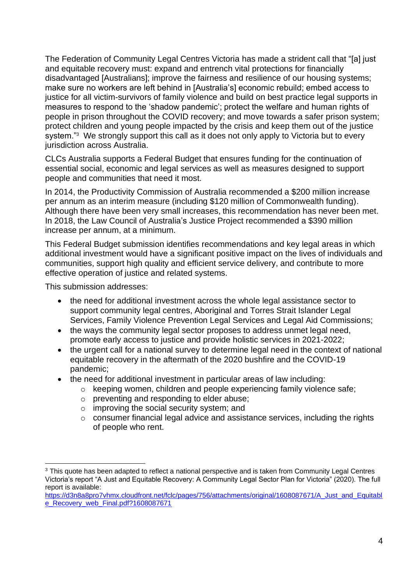The Federation of Community Legal Centres Victoria has made a strident call that "[a] just and equitable recovery must: expand and entrench vital protections for financially disadvantaged [Australians]; improve the fairness and resilience of our housing systems; make sure no workers are left behind in [Australia's] economic rebuild; embed access to justice for all victim-survivors of family violence and build on best practice legal supports in measures to respond to the 'shadow pandemic'; protect the welfare and human rights of people in prison throughout the COVID recovery; and move towards a safer prison system; protect children and young people impacted by the crisis and keep them out of the justice system."<sup>3</sup> We strongly support this call as it does not only apply to Victoria but to every jurisdiction across Australia.

CLCs Australia supports a Federal Budget that ensures funding for the continuation of essential social, economic and legal services as well as measures designed to support people and communities that need it most.

In 2014, the Productivity Commission of Australia recommended a \$200 million increase per annum as an interim measure (including \$120 million of Commonwealth funding). Although there have been very small increases, this recommendation has never been met. In 2018, the Law Council of Australia's Justice Project recommended a \$390 million increase per annum, at a minimum.

This Federal Budget submission identifies recommendations and key legal areas in which additional investment would have a significant positive impact on the lives of individuals and communities, support high quality and efficient service delivery, and contribute to more effective operation of justice and related systems.

This submission addresses:

- the need for additional investment across the whole legal assistance sector to support community legal centres, Aboriginal and Torres Strait Islander Legal Services, Family Violence Prevention Legal Services and Legal Aid Commissions;
- the ways the community legal sector proposes to address unmet legal need, promote early access to justice and provide holistic services in 2021-2022;
- the urgent call for a national survey to determine legal need in the context of national equitable recovery in the aftermath of the 2020 bushfire and the COVID-19 pandemic;
- the need for additional investment in particular areas of law including:
	- o keeping women, children and people experiencing family violence safe;
	- o preventing and responding to elder abuse;
	- o improving the social security system; and
	- o consumer financial legal advice and assistance services, including the rights of people who rent.

<sup>&</sup>lt;sup>3</sup> This quote has been adapted to reflect a national perspective and is taken from Community Legal Centres Victoria's report "A Just and Equitable Recovery: A Community Legal Sector Plan for Victoria" (2020). The full report is available:

[https://d3n8a8pro7vhmx.cloudfront.net/fclc/pages/756/attachments/original/1608087671/A\\_Just\\_and\\_Equitabl](https://d3n8a8pro7vhmx.cloudfront.net/fclc/pages/756/attachments/original/1608087671/A_Just_and_Equitable_Recovery_web_Final.pdf?1608087671) [e\\_Recovery\\_web\\_Final.pdf?1608087671](https://d3n8a8pro7vhmx.cloudfront.net/fclc/pages/756/attachments/original/1608087671/A_Just_and_Equitable_Recovery_web_Final.pdf?1608087671)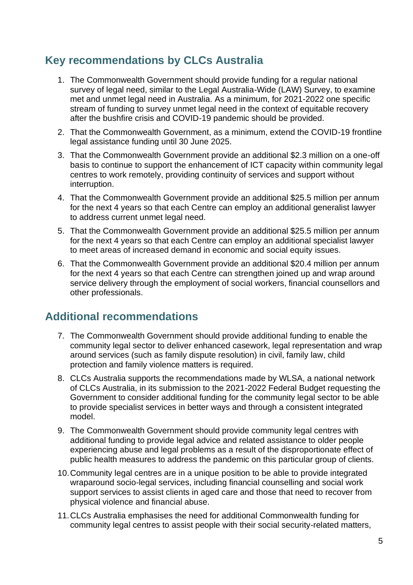### <span id="page-5-0"></span>**Key recommendations by CLCs Australia**

- 1. The Commonwealth Government should provide funding for a regular national survey of legal need, similar to the Legal Australia-Wide (LAW) Survey, to examine met and unmet legal need in Australia. As a minimum, for 2021-2022 one specific stream of funding to survey unmet legal need in the context of equitable recovery after the bushfire crisis and COVID-19 pandemic should be provided.
- 2. That the Commonwealth Government, as a minimum, extend the COVID-19 frontline legal assistance funding until 30 June 2025.
- 3. That the Commonwealth Government provide an additional \$2.3 million on a one-off basis to continue to support the enhancement of ICT capacity within community legal centres to work remotely, providing continuity of services and support without interruption.
- 4. That the Commonwealth Government provide an additional \$25.5 million per annum for the next 4 years so that each Centre can employ an additional generalist lawyer to address current unmet legal need.
- 5. That the Commonwealth Government provide an additional \$25.5 million per annum for the next 4 years so that each Centre can employ an additional specialist lawyer to meet areas of increased demand in economic and social equity issues.
- 6. That the Commonwealth Government provide an additional \$20.4 million per annum for the next 4 years so that each Centre can strengthen joined up and wrap around service delivery through the employment of social workers, financial counsellors and other professionals.

### <span id="page-5-1"></span>**Additional recommendations**

- 7. The Commonwealth Government should provide additional funding to enable the community legal sector to deliver enhanced casework, legal representation and wrap around services (such as family dispute resolution) in civil, family law, child protection and family violence matters is required.
- 8. CLCs Australia supports the recommendations made by WLSA, a national network of CLCs Australia, in its submission to the 2021-2022 Federal Budget requesting the Government to consider additional funding for the community legal sector to be able to provide specialist services in better ways and through a consistent integrated model.
- 9. The Commonwealth Government should provide community legal centres with additional funding to provide legal advice and related assistance to older people experiencing abuse and legal problems as a result of the disproportionate effect of public health measures to address the pandemic on this particular group of clients.
- 10.Community legal centres are in a unique position to be able to provide integrated wraparound socio-legal services, including financial counselling and social work support services to assist clients in aged care and those that need to recover from physical violence and financial abuse.
- 11.CLCs Australia emphasises the need for additional Commonwealth funding for community legal centres to assist people with their social security-related matters,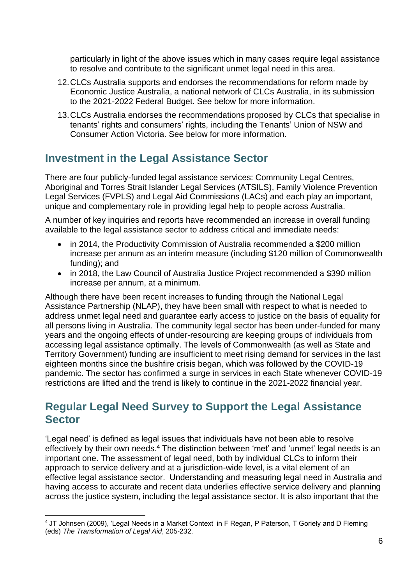particularly in light of the above issues which in many cases require legal assistance to resolve and contribute to the significant unmet legal need in this area.

- 12.CLCs Australia supports and endorses the recommendations for reform made by Economic Justice Australia, a national network of CLCs Australia, in its submission to the 2021-2022 Federal Budget. See below for more information.
- 13.CLCs Australia endorses the recommendations proposed by CLCs that specialise in tenants' rights and consumers' rights, including the Tenants' Union of NSW and Consumer Action Victoria. See below for more information.

### <span id="page-6-0"></span>**Investment in the Legal Assistance Sector**

There are four publicly-funded legal assistance services: Community Legal Centres, Aboriginal and Torres Strait Islander Legal Services (ATSILS), Family Violence Prevention Legal Services (FVPLS) and Legal Aid Commissions (LACs) and each play an important, unique and complementary role in providing legal help to people across Australia.

A number of key inquiries and reports have recommended an increase in overall funding available to the legal assistance sector to address critical and immediate needs:

- in 2014, the Productivity Commission of Australia recommended a \$200 million increase per annum as an interim measure (including \$120 million of Commonwealth funding); and
- in 2018, the Law Council of Australia Justice Project recommended a \$390 million increase per annum, at a minimum.

Although there have been recent increases to funding through the National Legal Assistance Partnership (NLAP), they have been small with respect to what is needed to address unmet legal need and guarantee early access to justice on the basis of equality for all persons living in Australia. The community legal sector has been under-funded for many years and the ongoing effects of under-resourcing are keeping groups of individuals from accessing legal assistance optimally. The levels of Commonwealth (as well as State and Territory Government) funding are insufficient to meet rising demand for services in the last eighteen months since the bushfire crisis began, which was followed by the COVID-19 pandemic. The sector has confirmed a surge in services in each State whenever COVID-19 restrictions are lifted and the trend is likely to continue in the 2021-2022 financial year.

### <span id="page-6-1"></span>**Regular Legal Need Survey to Support the Legal Assistance Sector**

'Legal need' is defined as legal issues that individuals have not been able to resolve effectively by their own needs.<sup>4</sup> The distinction between 'met' and 'unmet' legal needs is an important one. The assessment of legal need, both by individual CLCs to inform their approach to service delivery and at a jurisdiction-wide level, is a vital element of an effective legal assistance sector. Understanding and measuring legal need in Australia and having access to accurate and recent data underlies effective service delivery and planning across the justice system, including the legal assistance sector. It is also important that the

<sup>4</sup> JT Johnsen (2009), 'Legal Needs in a Market Context' in F Regan, P Paterson, T Goriely and D Fleming (eds) *The Transformation of Legal Aid*, 205-232.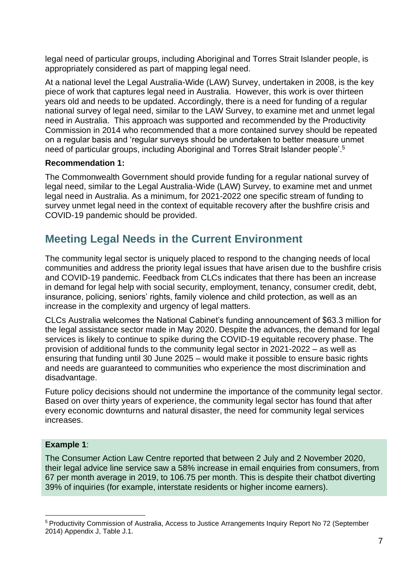legal need of particular groups, including Aboriginal and Torres Strait Islander people, is appropriately considered as part of mapping legal need.

At a national level the Legal Australia-Wide (LAW) Survey, undertaken in 2008, is the key piece of work that captures legal need in Australia. However, this work is over thirteen years old and needs to be updated. Accordingly, there is a need for funding of a regular national survey of legal need, similar to the LAW Survey, to examine met and unmet legal need in Australia. This approach was supported and recommended by the Productivity Commission in 2014 who recommended that a more contained survey should be repeated on a regular basis and 'regular surveys should be undertaken to better measure unmet need of particular groups, including Aboriginal and Torres Strait Islander people'.<sup>5</sup>

#### **Recommendation 1:**

The Commonwealth Government should provide funding for a regular national survey of legal need, similar to the Legal Australia-Wide (LAW) Survey, to examine met and unmet legal need in Australia. As a minimum, for 2021-2022 one specific stream of funding to survey unmet legal need in the context of equitable recovery after the bushfire crisis and COVID-19 pandemic should be provided.

### <span id="page-7-0"></span>**Meeting Legal Needs in the Current Environment**

The community legal sector is uniquely placed to respond to the changing needs of local communities and address the priority legal issues that have arisen due to the bushfire crisis and COVID-19 pandemic. Feedback from CLCs indicates that there has been an increase in demand for legal help with social security, employment, tenancy, consumer credit, debt, insurance, policing, seniors' rights, family violence and child protection, as well as an increase in the complexity and urgency of legal matters.

CLCs Australia welcomes the National Cabinet's funding announcement of \$63.3 million for the legal assistance sector made in May 2020. Despite the advances, the demand for legal services is likely to continue to spike during the COVID-19 equitable recovery phase. The provision of additional funds to the community legal sector in 2021-2022 – as well as ensuring that funding until 30 June 2025 – would make it possible to ensure basic rights and needs are guaranteed to communities who experience the most discrimination and disadvantage.

Future policy decisions should not undermine the importance of the community legal sector. Based on over thirty years of experience, the community legal sector has found that after every economic downturns and natural disaster, the need for community legal services increases.

#### **Example 1**:

The Consumer Action Law Centre reported that between 2 July and 2 November 2020, their legal advice line service saw a 58% increase in email enquiries from consumers, from 67 per month average in 2019, to 106.75 per month. This is despite their chatbot diverting 39% of inquiries (for example, interstate residents or higher income earners).

<sup>5</sup> Productivity Commission of Australia, Access to Justice Arrangements Inquiry Report No 72 (September 2014) Appendix J, Table J.1.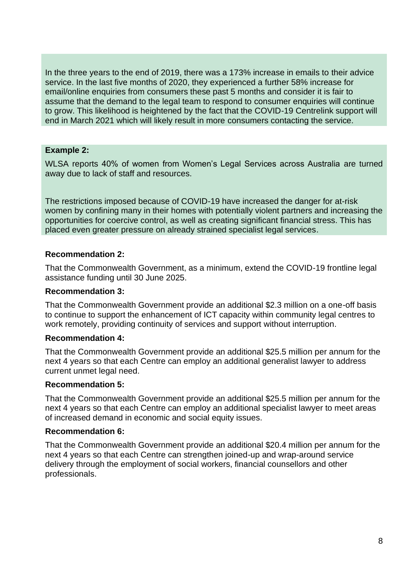In the three years to the end of 2019, there was a 173% increase in emails to their advice service. In the last five months of 2020, they experienced a further 58% increase for email/online enquiries from consumers these past 5 months and consider it is fair to assume that the demand to the legal team to respond to consumer enquiries will continue to grow. This likelihood is heightened by the fact that the COVID-19 Centrelink support will end in March 2021 which will likely result in more consumers contacting the service.

#### **Example 2:**

WLSA reports 40% of women from Women's Legal Services across Australia are turned away due to lack of staff and resources.

The restrictions imposed because of COVID-19 have increased the danger for at-risk women by confining many in their homes with potentially violent partners and increasing the opportunities for coercive control, as well as creating significant financial stress. This has placed even greater pressure on already strained specialist legal services.

#### **Recommendation 2:**

That the Commonwealth Government, as a minimum, extend the COVID-19 frontline legal assistance funding until 30 June 2025.

#### **Recommendation 3:**

That the Commonwealth Government provide an additional \$2.3 million on a one-off basis to continue to support the enhancement of ICT capacity within community legal centres to work remotely, providing continuity of services and support without interruption.

#### **Recommendation 4:**

That the Commonwealth Government provide an additional \$25.5 million per annum for the next 4 years so that each Centre can employ an additional generalist lawyer to address current unmet legal need.

#### **Recommendation 5:**

That the Commonwealth Government provide an additional \$25.5 million per annum for the next 4 years so that each Centre can employ an additional specialist lawyer to meet areas of increased demand in economic and social equity issues.

#### **Recommendation 6:**

That the Commonwealth Government provide an additional \$20.4 million per annum for the next 4 years so that each Centre can strengthen joined-up and wrap-around service delivery through the employment of social workers, financial counsellors and other professionals.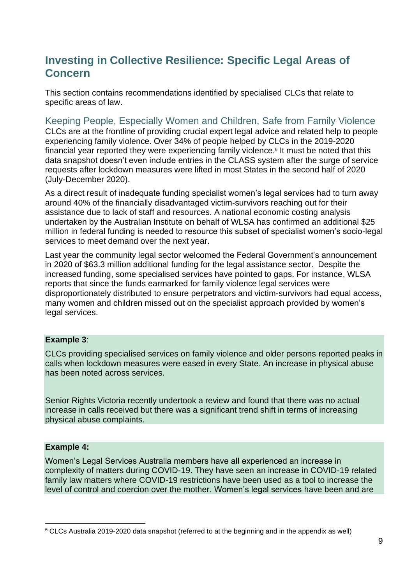### <span id="page-9-0"></span>**Investing in Collective Resilience: Specific Legal Areas of Concern**

This section contains recommendations identified by specialised CLCs that relate to specific areas of law.

Keeping People, Especially Women and Children, Safe from Family Violence CLCs are at the frontline of providing crucial expert legal advice and related help to people experiencing family violence. Over 34% of people helped by CLCs in the 2019-2020 financial year reported they were experiencing family violence.<sup>6</sup> It must be noted that this data snapshot doesn't even include entries in the CLASS system after the surge of service requests after lockdown measures were lifted in most States in the second half of 2020 (July-December 2020).

As a direct result of inadequate funding specialist women's legal services had to turn away around 40% of the financially disadvantaged victim-survivors reaching out for their assistance due to lack of staff and resources. A national economic costing analysis undertaken by the Australian Institute on behalf of WLSA has confirmed an additional \$25 million in federal funding is needed to resource this subset of specialist women's socio-legal services to meet demand over the next year.

Last year the community legal sector welcomed the Federal Government's announcement in 2020 of \$63.3 million additional funding for the legal assistance sector. Despite the increased funding, some specialised services have pointed to gaps. For instance, WLSA reports that since the funds earmarked for family violence legal services were disproportionately distributed to ensure perpetrators and victim-survivors had equal access, many women and children missed out on the specialist approach provided by women's legal services.

#### **Example 3**:

CLCs providing specialised services on family violence and older persons reported peaks in calls when lockdown measures were eased in every State. An increase in physical abuse has been noted across services.

Senior Rights Victoria recently undertook a review and found that there was no actual increase in calls received but there was a significant trend shift in terms of increasing physical abuse complaints.

#### **Example 4:**

Women's Legal Services Australia members have all experienced an increase in complexity of matters during COVID-19. They have seen an increase in COVID-19 related family law matters where COVID-19 restrictions have been used as a tool to increase the level of control and coercion over the mother. Women's legal services have been and are

<sup>&</sup>lt;sup>6</sup> CLCs Australia 2019-2020 data snapshot (referred to at the beginning and in the appendix as well)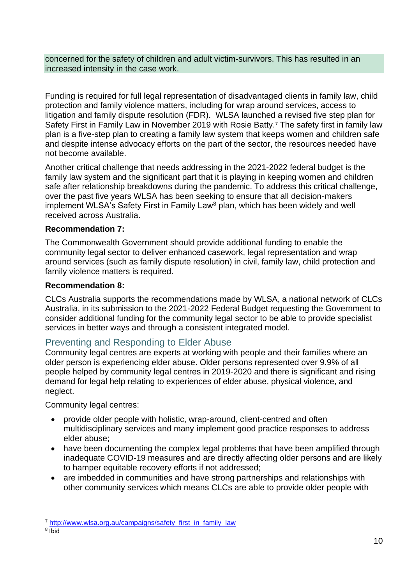concerned for the safety of children and adult victim-survivors. This has resulted in an increased intensity in the case work.

Funding is required for full legal representation of disadvantaged clients in family law, child protection and family violence matters, including for wrap around services, access to litigation and family dispute resolution (FDR). WLSA launched a revised five step plan for Safety First in Family Law in November 2019 with Rosie Batty.<sup>7</sup> The safety first in family law plan is a five-step plan to creating a family law system that keeps women and children safe and despite intense advocacy efforts on the part of the sector, the resources needed have not become available.

Another critical challenge that needs addressing in the 2021-2022 federal budget is the family law system and the significant part that it is playing in keeping women and children safe after relationship breakdowns during the pandemic. To address this critical challenge, over the past five years WLSA has been seeking to ensure that all decision-makers implement WLSA's Safety First in Family Law<sup>8</sup> plan, which has been widely and well received across Australia.

#### **Recommendation 7:**

The Commonwealth Government should provide additional funding to enable the community legal sector to deliver enhanced casework, legal representation and wrap around services (such as family dispute resolution) in civil, family law, child protection and family violence matters is required.

#### **Recommendation 8:**

CLCs Australia supports the recommendations made by WLSA, a national network of CLCs Australia, in its submission to the 2021-2022 Federal Budget requesting the Government to consider additional funding for the community legal sector to be able to provide specialist services in better ways and through a consistent integrated model.

#### Preventing and Responding to Elder Abuse

Community legal centres are experts at working with people and their families where an older person is experiencing elder abuse. Older persons represented over 9.9% of all people helped by community legal centres in 2019-2020 and there is significant and rising demand for legal help relating to experiences of elder abuse, physical violence, and neglect.

Community legal centres:

- provide older people with holistic, wrap-around, client-centred and often multidisciplinary services and many implement good practice responses to address elder abuse;
- have been documenting the complex legal problems that have been amplified through inadequate COVID-19 measures and are directly affecting older persons and are likely to hamper equitable recovery efforts if not addressed;
- are imbedded in communities and have strong partnerships and relationships with other community services which means CLCs are able to provide older people with

<sup>&</sup>lt;sup>7</sup> [http://www.wlsa.org.au/campaigns/safety\\_first\\_in\\_family\\_law](http://www.wlsa.org.au/campaigns/safety_first_in_family_law)

<sup>&</sup>lt;sup>8</sup> Ibid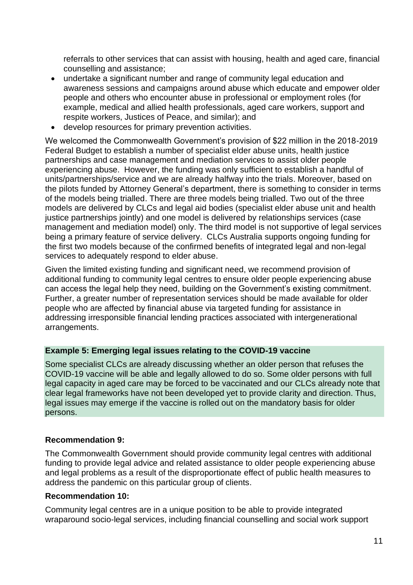referrals to other services that can assist with housing, health and aged care, financial counselling and assistance;

- undertake a significant number and range of community legal education and awareness sessions and campaigns around abuse which educate and empower older people and others who encounter abuse in professional or employment roles (for example, medical and allied health professionals, aged care workers, support and respite workers, Justices of Peace, and similar); and
- develop resources for primary prevention activities.

We welcomed the Commonwealth Government's provision of \$22 million in the 2018-2019 Federal Budget to establish a number of specialist elder abuse units, health justice partnerships and case management and mediation services to assist older people experiencing abuse. However, the funding was only sufficient to establish a handful of units/partnerships/service and we are already halfway into the trials. Moreover, based on the pilots funded by Attorney General's department, there is something to consider in terms of the models being trialled. There are three models being trialled. Two out of the three models are delivered by CLCs and legal aid bodies (specialist elder abuse unit and health justice partnerships jointly) and one model is delivered by relationships services (case management and mediation model) only. The third model is not supportive of legal services being a primary feature of service delivery. CLCs Australia supports ongoing funding for the first two models because of the confirmed benefits of integrated legal and non-legal services to adequately respond to elder abuse.

Given the limited existing funding and significant need, we recommend provision of additional funding to community legal centres to ensure older people experiencing abuse can access the legal help they need, building on the Government's existing commitment. Further, a greater number of representation services should be made available for older people who are affected by financial abuse via targeted funding for assistance in addressing irresponsible financial lending practices associated with intergenerational arrangements.

#### **Example 5: Emerging legal issues relating to the COVID-19 vaccine**

Some specialist CLCs are already discussing whether an older person that refuses the COVID-19 vaccine will be able and legally allowed to do so. Some older persons with full legal capacity in aged care may be forced to be vaccinated and our CLCs already note that clear legal frameworks have not been developed yet to provide clarity and direction. Thus, legal issues may emerge if the vaccine is rolled out on the mandatory basis for older persons.

#### **Recommendation 9:**

The Commonwealth Government should provide community legal centres with additional funding to provide legal advice and related assistance to older people experiencing abuse and legal problems as a result of the disproportionate effect of public health measures to address the pandemic on this particular group of clients.

#### **Recommendation 10:**

Community legal centres are in a unique position to be able to provide integrated wraparound socio-legal services, including financial counselling and social work support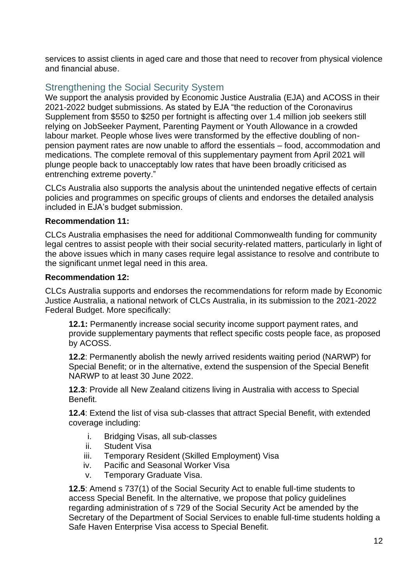services to assist clients in aged care and those that need to recover from physical violence and financial abuse.

### Strengthening the Social Security System

We support the analysis provided by Economic Justice Australia (EJA) and ACOSS in their 2021-2022 budget submissions. As stated by EJA "the reduction of the Coronavirus Supplement from \$550 to \$250 per fortnight is affecting over 1.4 million job seekers still relying on JobSeeker Payment, Parenting Payment or Youth Allowance in a crowded labour market. People whose lives were transformed by the effective doubling of nonpension payment rates are now unable to afford the essentials – food, accommodation and medications. The complete removal of this supplementary payment from April 2021 will plunge people back to unacceptably low rates that have been broadly criticised as entrenching extreme poverty."

CLCs Australia also supports the analysis about the unintended negative effects of certain policies and programmes on specific groups of clients and endorses the detailed analysis included in EJA's budget submission.

#### **Recommendation 11:**

CLCs Australia emphasises the need for additional Commonwealth funding for community legal centres to assist people with their social security-related matters, particularly in light of the above issues which in many cases require legal assistance to resolve and contribute to the significant unmet legal need in this area.

#### **Recommendation 12:**

CLCs Australia supports and endorses the recommendations for reform made by Economic Justice Australia, a national network of CLCs Australia, in its submission to the 2021-2022 Federal Budget. More specifically:

**12.1:** Permanently increase social security income support payment rates, and provide supplementary payments that reflect specific costs people face, as proposed by ACOSS.

**12.2**: Permanently abolish the newly arrived residents waiting period (NARWP) for Special Benefit; or in the alternative, extend the suspension of the Special Benefit NARWP to at least 30 June 2022.

**12.3**: Provide all New Zealand citizens living in Australia with access to Special Benefit.

**12.4**: Extend the list of visa sub-classes that attract Special Benefit, with extended coverage including:

- i. Bridging Visas, all sub-classes
- ii. Student Visa
- iii. Temporary Resident (Skilled Employment) Visa
- iv. Pacific and Seasonal Worker Visa
- v. Temporary Graduate Visa.

**12.5**: Amend s 737(1) of the Social Security Act to enable full-time students to access Special Benefit. In the alternative, we propose that policy guidelines regarding administration of s 729 of the Social Security Act be amended by the Secretary of the Department of Social Services to enable full-time students holding a Safe Haven Enterprise Visa access to Special Benefit.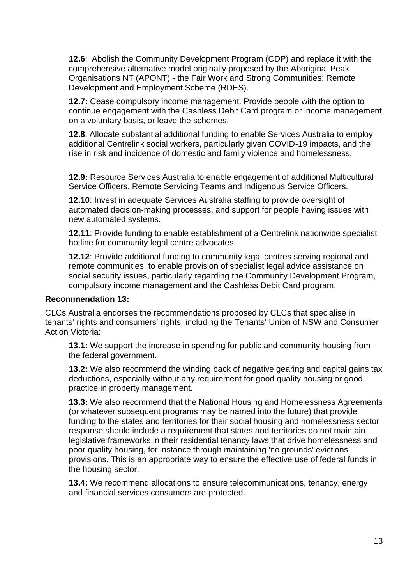**12.6**: Abolish the Community Development Program (CDP) and replace it with the comprehensive alternative model originally proposed by the Aboriginal Peak Organisations NT (APONT) - the Fair Work and Strong Communities: Remote Development and Employment Scheme (RDES).

**12.7:** Cease compulsory income management. Provide people with the option to continue engagement with the Cashless Debit Card program or income management on a voluntary basis, or leave the schemes.

**12.8**: Allocate substantial additional funding to enable Services Australia to employ additional Centrelink social workers, particularly given COVID-19 impacts, and the rise in risk and incidence of domestic and family violence and homelessness.

**12.9:** Resource Services Australia to enable engagement of additional Multicultural Service Officers, Remote Servicing Teams and Indigenous Service Officers.

**12.10**: Invest in adequate Services Australia staffing to provide oversight of automated decision-making processes, and support for people having issues with new automated systems.

**12.11**: Provide funding to enable establishment of a Centrelink nationwide specialist hotline for community legal centre advocates.

**12.12**: Provide additional funding to community legal centres serving regional and remote communities, to enable provision of specialist legal advice assistance on social security issues, particularly regarding the Community Development Program, compulsory income management and the Cashless Debit Card program.

#### **Recommendation 13:**

CLCs Australia endorses the recommendations proposed by CLCs that specialise in tenants' rights and consumers' rights, including the Tenants' Union of NSW and Consumer Action Victoria:

**13.1:** We support the increase in spending for public and community housing from the federal government.

**13.2:** We also recommend the winding back of negative gearing and capital gains tax deductions, especially without any requirement for good quality housing or good practice in property management.

**13.3:** We also recommend that the National Housing and Homelessness Agreements (or whatever subsequent programs may be named into the future) that provide funding to the states and territories for their social housing and homelessness sector response should include a requirement that states and territories do not maintain legislative frameworks in their residential tenancy laws that drive homelessness and poor quality housing, for instance through maintaining 'no grounds' evictions provisions. This is an appropriate way to ensure the effective use of federal funds in the housing sector.

**13.4:** We recommend allocations to ensure telecommunications, tenancy, energy and financial services consumers are protected.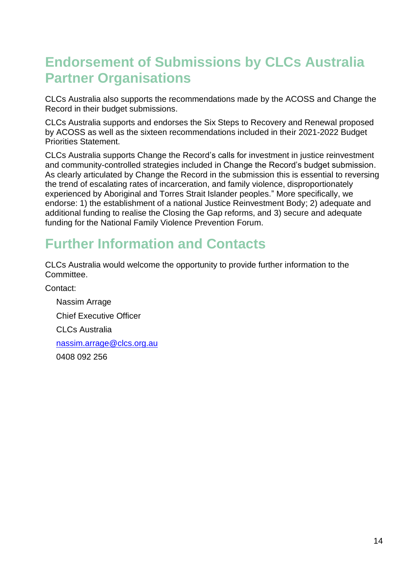# <span id="page-14-0"></span>**Endorsement of Submissions by CLCs Australia Partner Organisations**

CLCs Australia also supports the recommendations made by the ACOSS and Change the Record in their budget submissions.

CLCs Australia supports and endorses the Six Steps to Recovery and Renewal proposed by ACOSS as well as the sixteen recommendations included in their 2021-2022 Budget Priorities Statement.

CLCs Australia supports Change the Record's calls for investment in justice reinvestment and community-controlled strategies included in Change the Record's budget submission. As clearly articulated by Change the Record in the submission this is essential to reversing the trend of escalating rates of incarceration, and family violence, disproportionately experienced by Aboriginal and Torres Strait Islander peoples." More specifically, we endorse: 1) the establishment of a national Justice Reinvestment Body; 2) adequate and additional funding to realise the Closing the Gap reforms, and 3) secure and adequate funding for the National Family Violence Prevention Forum.

## <span id="page-14-1"></span>**Further Information and Contacts**

CLCs Australia would welcome the opportunity to provide further information to the Committee.

Contact:

Nassim Arrage Chief Executive Officer CLCs Australia [nassim.arrage@clcs.org.au](mailto:nassim.arrage@clcs.org.au) 0408 092 256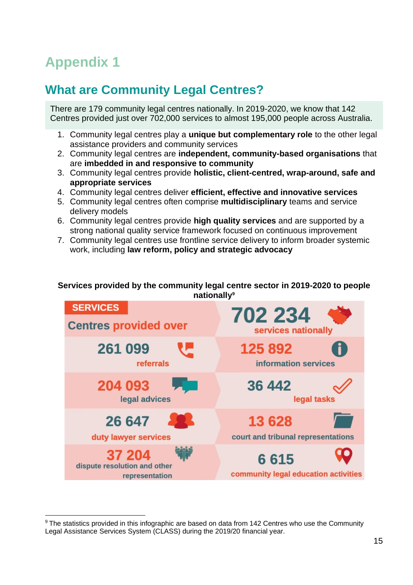# <span id="page-15-0"></span>**Appendix 1**

## <span id="page-15-1"></span>**What are Community Legal Centres?**

There are 179 community legal centres nationally. In 2019-2020, we know that 142 Centres provided just over 702,000 services to almost 195,000 people across Australia.

- 1. Community legal centres play a **unique but complementary role** to the other legal assistance providers and community services
- 2. Community legal centres are **independent, community-based organisations** that are **imbedded in and responsive to community**
- 3. Community legal centres provide **holistic, client-centred, wrap-around, safe and appropriate services**
- 4. Community legal centres deliver **efficient, effective and innovative services**
- 5. Community legal centres often comprise **multidisciplinary** teams and service delivery models
- 6. Community legal centres provide **high quality services** and are supported by a strong national quality service framework focused on continuous improvement
- 7. Community legal centres use frontline service delivery to inform broader systemic work, including **law reform, policy and strategic advocacy**

#### **Services provided by the community legal centre sector in 2019-2020 to people nationally<sup>9</sup>**



<sup>&</sup>lt;sup>9</sup> The statistics provided in this infographic are based on data from 142 Centres who use the Community Legal Assistance Services System (CLASS) during the 2019/20 financial year.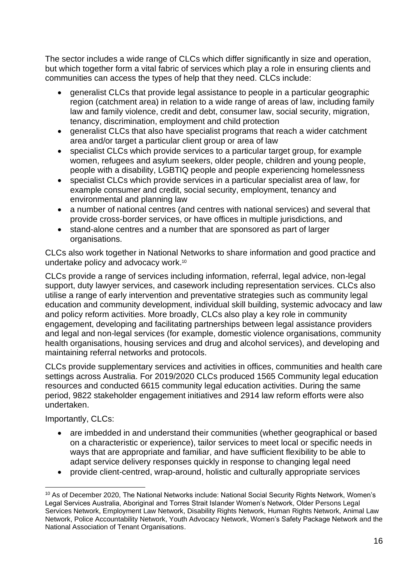The sector includes a wide range of CLCs which differ significantly in size and operation, but which together form a vital fabric of services which play a role in ensuring clients and communities can access the types of help that they need. CLCs include:

- generalist CLCs that provide legal assistance to people in a particular geographic region (catchment area) in relation to a wide range of areas of law, including family law and family violence, credit and debt, consumer law, social security, migration, tenancy, discrimination, employment and child protection
- generalist CLCs that also have specialist programs that reach a wider catchment area and/or target a particular client group or area of law
- specialist CLCs which provide services to a particular target group, for example women, refugees and asylum seekers, older people, children and young people, people with a disability, LGBTIQ people and people experiencing homelessness
- specialist CLCs which provide services in a particular specialist area of law, for example consumer and credit, social security, employment, tenancy and environmental and planning law
- a number of national centres (and centres with national services) and several that provide cross-border services, or have offices in multiple jurisdictions, and
- stand-alone centres and a number that are sponsored as part of larger organisations.

CLCs also work together in National Networks to share information and good practice and undertake policy and advocacy work.<sup>10</sup>

CLCs provide a range of services including information, referral, legal advice, non-legal support, duty lawyer services, and casework including representation services. CLCs also utilise a range of early intervention and preventative strategies such as community legal education and community development, individual skill building, systemic advocacy and law and policy reform activities. More broadly, CLCs also play a key role in community engagement, developing and facilitating partnerships between legal assistance providers and legal and non-legal services (for example, domestic violence organisations, community health organisations, housing services and drug and alcohol services), and developing and maintaining referral networks and protocols.

CLCs provide supplementary services and activities in offices, communities and health care settings across Australia. For 2019/2020 CLCs produced 1565 Community legal education resources and conducted 6615 community legal education activities. During the same period, 9822 stakeholder engagement initiatives and 2914 law reform efforts were also undertaken.

Importantly, CLCs:

- are imbedded in and understand their communities (whether geographical or based on a characteristic or experience), tailor services to meet local or specific needs in ways that are appropriate and familiar, and have sufficient flexibility to be able to adapt service delivery responses quickly in response to changing legal need
- provide client-centred, wrap-around, holistic and culturally appropriate services

<sup>&</sup>lt;sup>10</sup> As of December 2020, The National Networks include: National Social Security Rights Network, Women's Legal Services Australia, Aboriginal and Torres Strait Islander Women's Network, Older Persons Legal Services Network, Employment Law Network, Disability Rights Network, Human Rights Network, Animal Law Network, Police Accountability Network, Youth Advocacy Network, Women's Safety Package Network and the National Association of Tenant Organisations.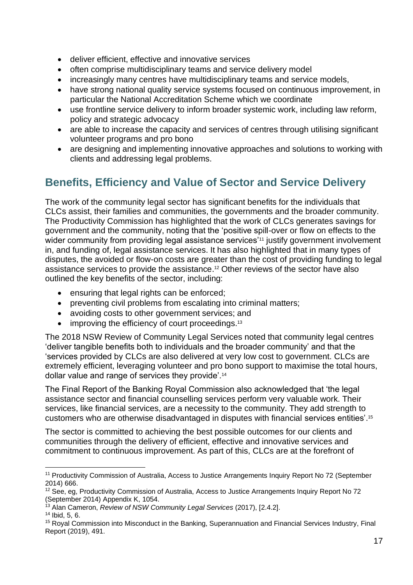- deliver efficient, effective and innovative services
- often comprise multidisciplinary teams and service delivery model
- increasingly many centres have multidisciplinary teams and service models,
- have strong national quality service systems focused on continuous improvement, in particular the National Accreditation Scheme which we coordinate
- use frontline service delivery to inform broader systemic work, including law reform, policy and strategic advocacy
- are able to increase the capacity and services of centres through utilising significant volunteer programs and pro bono
- are designing and implementing innovative approaches and solutions to working with clients and addressing legal problems.

### <span id="page-17-0"></span>**Benefits, Efficiency and Value of Sector and Service Delivery**

The work of the community legal sector has significant benefits for the individuals that CLCs assist, their families and communities, the governments and the broader community. The Productivity Commission has highlighted that the work of CLCs generates savings for government and the community, noting that the 'positive spill-over or flow on effects to the wider community from providing legal assistance services<sup>'11</sup> justify government involvement in, and funding of, legal assistance services. It has also highlighted that in many types of disputes, the avoided or flow-on costs are greater than the cost of providing funding to legal assistance services to provide the assistance. <sup>12</sup> Other reviews of the sector have also outlined the key benefits of the sector, including:

- ensuring that legal rights can be enforced;
- preventing civil problems from escalating into criminal matters:
- avoiding costs to other government services; and
- improving the efficiency of court proceedings.<sup>13</sup>

The 2018 NSW Review of Community Legal Services noted that community legal centres 'deliver tangible benefits both to individuals and the broader community' and that the 'services provided by CLCs are also delivered at very low cost to government. CLCs are extremely efficient, leveraging volunteer and pro bono support to maximise the total hours, dollar value and range of services they provide'.<sup>14</sup>

The Final Report of the Banking Royal Commission also acknowledged that 'the legal assistance sector and financial counselling services perform very valuable work. Their services, like financial services, are a necessity to the community. They add strength to customers who are otherwise disadvantaged in disputes with financial services entities'. 15

The sector is committed to achieving the best possible outcomes for our clients and communities through the delivery of efficient, effective and innovative services and commitment to continuous improvement. As part of this, CLCs are at the forefront of

<sup>11</sup> Productivity Commission of Australia, Access to Justice Arrangements Inquiry Report No 72 (September 2014) 666.

<sup>&</sup>lt;sup>12</sup> See, eg, Productivity Commission of Australia, Access to Justice Arrangements Inquiry Report No 72 (September 2014) Appendix K, 1054.

<sup>13</sup> Alan Cameron, *Review of NSW Community Legal Services* (2017), [2.4.2].

 $14$  Ibid, 5, 6.

<sup>&</sup>lt;sup>15</sup> Roval Commission into Misconduct in the Banking, Superannuation and Financial Services Industry, Final Report (2019), 491.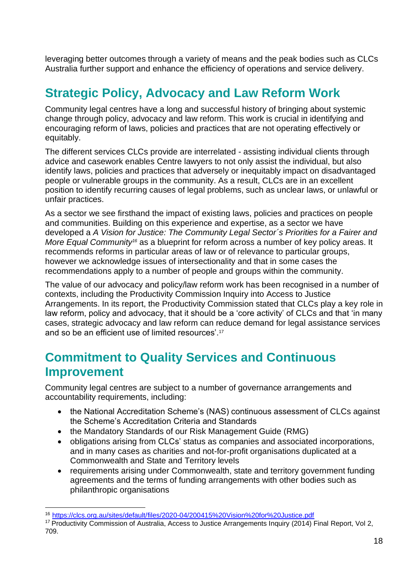leveraging better outcomes through a variety of means and the peak bodies such as CLCs Australia further support and enhance the efficiency of operations and service delivery.

## <span id="page-18-0"></span>**Strategic Policy, Advocacy and Law Reform Work**

Community legal centres have a long and successful history of bringing about systemic change through policy, advocacy and law reform. This work is crucial in identifying and encouraging reform of laws, policies and practices that are not operating effectively or equitably.

The different services CLCs provide are interrelated - assisting individual clients through advice and casework enables Centre lawyers to not only assist the individual, but also identify laws, policies and practices that adversely or inequitably impact on disadvantaged people or vulnerable groups in the community. As a result, CLCs are in an excellent position to identify recurring causes of legal problems, such as unclear laws, or unlawful or unfair practices.

As a sector we see firsthand the impact of existing laws, policies and practices on people and communities. Building on this experience and expertise, as a sector we have developed a *A Vision for Justice: The Community Legal Sector´s Priorities for a Fairer and More Equal Community<sup>16</sup>* as a blueprint for reform across a number of key policy areas. It recommends reforms in particular areas of law or of relevance to particular groups, however we acknowledge issues of intersectionality and that in some cases the recommendations apply to a number of people and groups within the community.

The value of our advocacy and policy/law reform work has been recognised in a number of contexts, including the Productivity Commission Inquiry into Access to Justice Arrangements. In its report, the Productivity Commission stated that CLCs play a key role in law reform, policy and advocacy, that it should be a 'core activity' of CLCs and that 'in many cases, strategic advocacy and law reform can reduce demand for legal assistance services and so be an efficient use of limited resources'.<sup>17</sup>

## <span id="page-18-1"></span>**Commitment to Quality Services and Continuous Improvement**

Community legal centres are subject to a number of governance arrangements and accountability requirements, including:

- the National Accreditation Scheme's (NAS) continuous assessment of CLCs against the Scheme's Accreditation Criteria and Standards
- the Mandatory Standards of our Risk Management Guide (RMG)
- obligations arising from CLCs' status as companies and associated incorporations, and in many cases as charities and not-for-profit organisations duplicated at a Commonwealth and State and Territory levels
- requirements arising under Commonwealth, state and territory government funding agreements and the terms of funding arrangements with other bodies such as philanthropic organisations

<sup>16</sup> <https://clcs.org.au/sites/default/files/2020-04/200415%20Vision%20for%20Justice.pdf>

<sup>&</sup>lt;sup>17</sup> Productivity Commission of Australia, Access to Justice Arrangements Inquiry (2014) Final Report, Vol 2, 709.